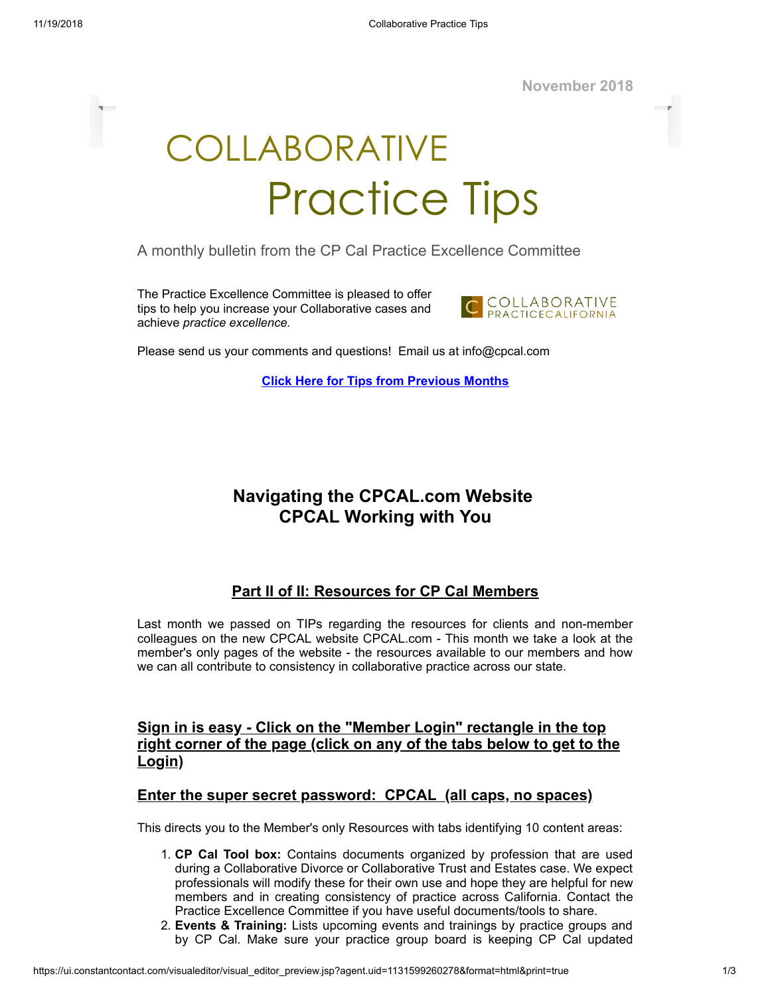**November 2018**

# COLLABORATIVE Practice Tips

A monthly bulletin from the CP Cal Practice Excellence Committee

The Practice Excellence Committee is pleased to offer tips to help you increase your Collaborative cases and achieve *practice excellence.*



Please send us your comments and questions! Email us at info@cpcal.com

**Click Here for Tips from [Previous](http://www.cpcal.com/for-professionals/practice-tips-newsletter/) Months**

## **Navigating the CPCAL.com Website CPCAL Working with You**

### **Part II of II: Resources for CP Cal Members**

Last month we passed on TIPs regarding the resources for clients and non-member colleagues on the new CPCAL website CPCAL.com - This month we take a look at the member's only pages of the website - the resources available to our members and how we can all contribute to consistency in collaborative practice across our state.

#### **Sign in is easy - Click on the "Member Login" rectangle in the top right corner of the page (click on any of the tabs below to get to the Login)**

#### **Enter the super secret password: CPCAL (all caps, no spaces)**

This directs you to the Member's only Resources with tabs identifying 10 content areas:

- 1. **CP Cal Tool box:** Contains documents organized by profession that are used during a Collaborative Divorce or Collaborative Trust and Estates case. We expect professionals will modify these for their own use and hope they are helpful for new members and in creating consistency of practice across California. Contact the Practice Excellence Committee if you have useful documents/tools to share.
- 2. **Events & Training:** Lists upcoming events and trainings by practice groups and by CP Cal. Make sure your practice group board is keeping CP Cal updated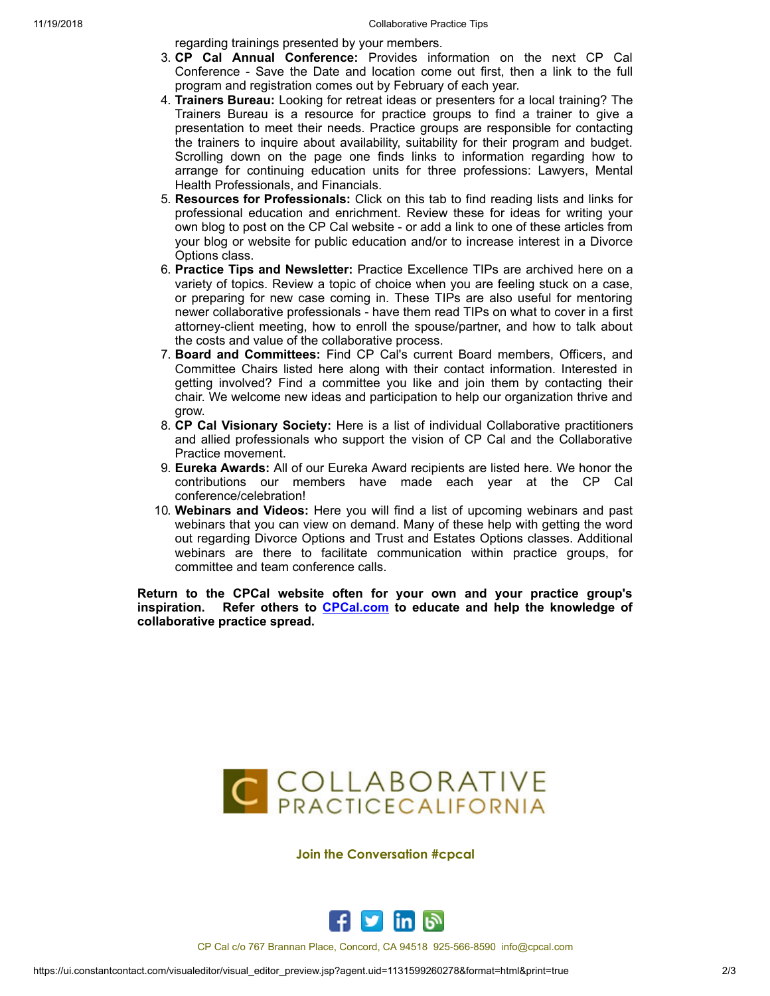11/19/2018 Collaborative Practice Tips

regarding trainings presented by your members.

- 3. **CP Cal Annual Conference:** Provides information on the next CP Cal Conference - Save the Date and location come out first, then a link to the full program and registration comes out by February of each year.
- 4. **Trainers Bureau:** Looking for retreat ideas or presenters for a local training? The Trainers Bureau is a resource for practice groups to find a trainer to give a presentation to meet their needs. Practice groups are responsible for contacting the trainers to inquire about availability, suitability for their program and budget. Scrolling down on the page one finds links to information regarding how to arrange for continuing education units for three professions: Lawyers, Mental Health Professionals, and Financials.
- 5. **Resources for Professionals:** Click on this tab to find reading lists and links for professional education and enrichment. Review these for ideas for writing your own blog to post on the CP Cal website - or add a link to one of these articles from your blog or website for public education and/or to increase interest in a Divorce Options class.
- 6. **Practice Tips and Newsletter:** Practice Excellence TIPs are archived here on a variety of topics. Review a topic of choice when you are feeling stuck on a case, or preparing for new case coming in. These TIPs are also useful for mentoring newer collaborative professionals - have them read TIPs on what to cover in a first attorney-client meeting, how to enroll the spouse/partner, and how to talk about the costs and value of the collaborative process.
- 7. **Board and Committees:** Find CP Cal's current Board members, Officers, and Committee Chairs listed here along with their contact information. Interested in getting involved? Find a committee you like and join them by contacting their chair. We welcome new ideas and participation to help our organization thrive and grow.
- 8. **CP Cal Visionary Society:** Here is a list of individual Collaborative practitioners and allied professionals who support the vision of CP Cal and the Collaborative Practice movement.
- 9. **Eureka Awards:** All of our Eureka Award recipients are listed here. We honor the contributions our members have made each year at the CP Cal conference/celebration!
- 10. **Webinars and Videos:** Here you will find a list of upcoming webinars and past webinars that you can view on demand. Many of these help with getting the word out regarding Divorce Options and Trust and Estates Options classes. Additional webinars are there to facilitate communication within practice groups, for committee and team conference calls.

**Return to the CPCal website often for your own and your practice group's inspiration. Refer others to [CPCal.com](https://www.cpcal.com/) to educate and help the knowledge of collaborative practice spread.**



#### **Join the Conversation #cpcal**



CP Cal c/o 767 Brannan Place, Concord, CA 94518 925-566-8590 info@cpcal.com